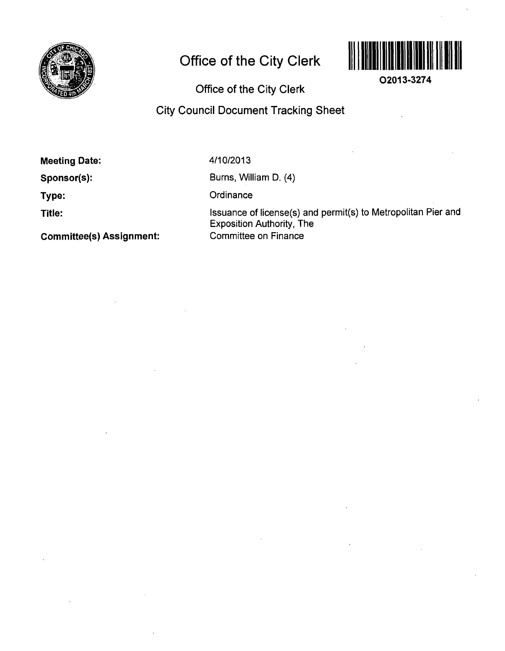

## **Office of the City Clerk**



**02013-3274** 

**Office of the City Clerk** 

## **City Council Document Tracking Sheet**

**Meeting Date:** 

**Sponsor(s):** 

**Type:** 

**Title:** 

4/10/2013

Burns, William D. (4)

**Ordinance** 

Issuance of license(s) and permit(s) to Metropolitan Pier and Exposition Authority, The Committee on Finance

**Committee(s) Assignment:**